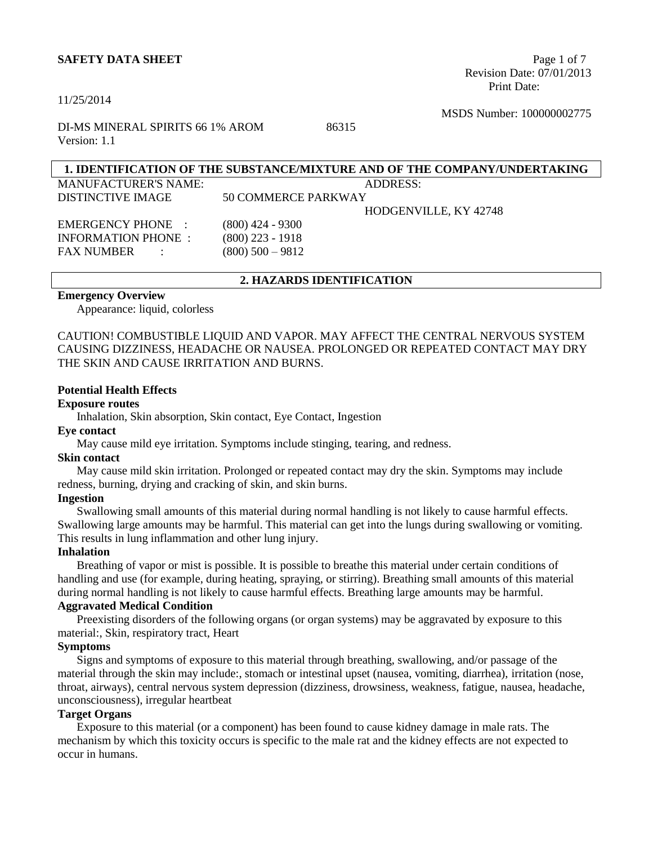#### **SAFETY DATA SHEET** Page 1 of 7

#### 11/25/2014

 Revision Date: 07/01/2013 Print Date:

MSDS Number: 100000002775

DI-MS MINERAL SPIRITS 66 1% AROM 86315 Version: 1.1

# **1. IDENTIFICATION OF THE SUBSTANCE/MIXTURE AND OF THE COMPANY/UNDERTAKING**

MANUFACTURER'S NAME: ADDRESS: DISTINCTIVE IMAGE 50 COMMERCE PARKWAY HODGENVILLE, KY 42748 EMERGENCY PHONE : (800) 424 - 9300 INFORMATION PHONE : (800) 223 - 1918 FAX NUMBER : (800) 500 – 9812

## **2. HAZARDS IDENTIFICATION**

# **Emergency Overview**

Appearance: liquid, colorless

CAUTION! COMBUSTIBLE LIQUID AND VAPOR. MAY AFFECT THE CENTRAL NERVOUS SYSTEM CAUSING DIZZINESS, HEADACHE OR NAUSEA. PROLONGED OR REPEATED CONTACT MAY DRY THE SKIN AND CAUSE IRRITATION AND BURNS.

#### **Potential Health Effects**

#### **Exposure routes**

Inhalation, Skin absorption, Skin contact, Eye Contact, Ingestion

#### **Eye contact**

May cause mild eye irritation. Symptoms include stinging, tearing, and redness.

#### **Skin contact**

May cause mild skin irritation. Prolonged or repeated contact may dry the skin. Symptoms may include redness, burning, drying and cracking of skin, and skin burns.

#### **Ingestion**

Swallowing small amounts of this material during normal handling is not likely to cause harmful effects. Swallowing large amounts may be harmful. This material can get into the lungs during swallowing or vomiting. This results in lung inflammation and other lung injury.

#### **Inhalation**

Breathing of vapor or mist is possible. It is possible to breathe this material under certain conditions of handling and use (for example, during heating, spraying, or stirring). Breathing small amounts of this material during normal handling is not likely to cause harmful effects. Breathing large amounts may be harmful.

#### **Aggravated Medical Condition**

Preexisting disorders of the following organs (or organ systems) may be aggravated by exposure to this material:, Skin, respiratory tract, Heart

#### **Symptoms**

Signs and symptoms of exposure to this material through breathing, swallowing, and/or passage of the material through the skin may include:, stomach or intestinal upset (nausea, vomiting, diarrhea), irritation (nose, throat, airways), central nervous system depression (dizziness, drowsiness, weakness, fatigue, nausea, headache, unconsciousness), irregular heartbeat

#### **Target Organs**

Exposure to this material (or a component) has been found to cause kidney damage in male rats. The mechanism by which this toxicity occurs is specific to the male rat and the kidney effects are not expected to occur in humans.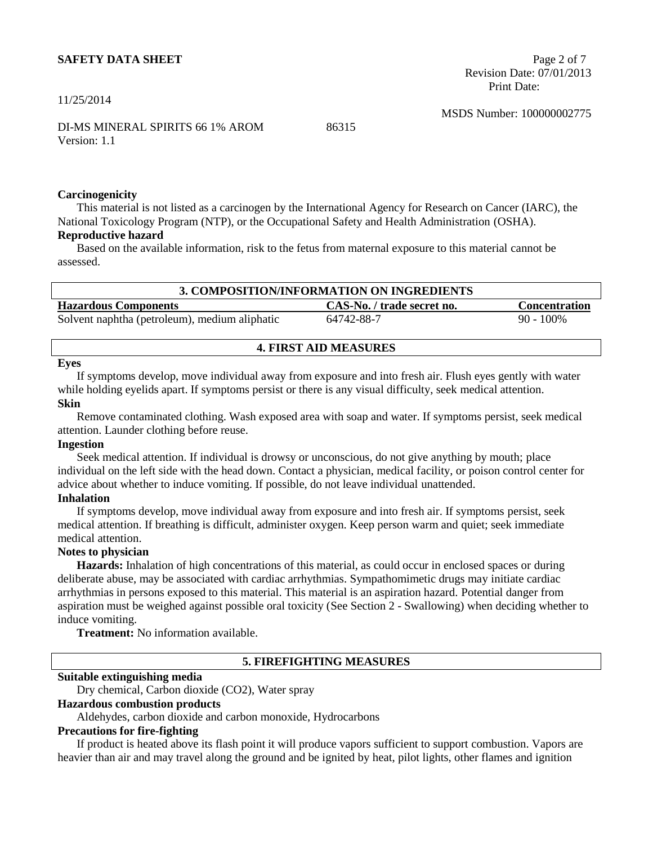#### **SAFETY DATA SHEET** Page 2 of 7

11/25/2014

 Revision Date: 07/01/2013 Print Date:

MSDS Number: 100000002775

DI-MS MINERAL SPIRITS 66 1% AROM 86315 Version: 1.1

#### **Carcinogenicity**

This material is not listed as a carcinogen by the International Agency for Research on Cancer (IARC), the National Toxicology Program (NTP), or the Occupational Safety and Health Administration (OSHA).

# **Reproductive hazard**

Based on the available information, risk to the fetus from maternal exposure to this material cannot be assessed.

| 3. COMPOSITION/INFORMATION ON INGREDIENTS     |                            |                      |  |
|-----------------------------------------------|----------------------------|----------------------|--|
| <b>Hazardous Components</b>                   | CAS-No. / trade secret no. | <b>Concentration</b> |  |
| Solvent naphtha (petroleum), medium aliphatic | 64742-88-7                 | $90 - 100\%$         |  |

#### **4. FIRST AID MEASURES**

#### **Eyes**

If symptoms develop, move individual away from exposure and into fresh air. Flush eyes gently with water while holding eyelids apart. If symptoms persist or there is any visual difficulty, seek medical attention. **Skin**

Remove contaminated clothing. Wash exposed area with soap and water. If symptoms persist, seek medical attention. Launder clothing before reuse.

#### **Ingestion**

Seek medical attention. If individual is drowsy or unconscious, do not give anything by mouth; place individual on the left side with the head down. Contact a physician, medical facility, or poison control center for advice about whether to induce vomiting. If possible, do not leave individual unattended.

#### **Inhalation**

If symptoms develop, move individual away from exposure and into fresh air. If symptoms persist, seek medical attention. If breathing is difficult, administer oxygen. Keep person warm and quiet; seek immediate medical attention.

# **Notes to physician**

**Hazards:** Inhalation of high concentrations of this material, as could occur in enclosed spaces or during deliberate abuse, may be associated with cardiac arrhythmias. Sympathomimetic drugs may initiate cardiac arrhythmias in persons exposed to this material. This material is an aspiration hazard. Potential danger from aspiration must be weighed against possible oral toxicity (See Section 2 - Swallowing) when deciding whether to induce vomiting.

**Treatment:** No information available.

#### **5. FIREFIGHTING MEASURES**

#### **Suitable extinguishing media**

Dry chemical, Carbon dioxide (CO2), Water spray

#### **Hazardous combustion products**

Aldehydes, carbon dioxide and carbon monoxide, Hydrocarbons

#### **Precautions for fire-fighting**

If product is heated above its flash point it will produce vapors sufficient to support combustion. Vapors are heavier than air and may travel along the ground and be ignited by heat, pilot lights, other flames and ignition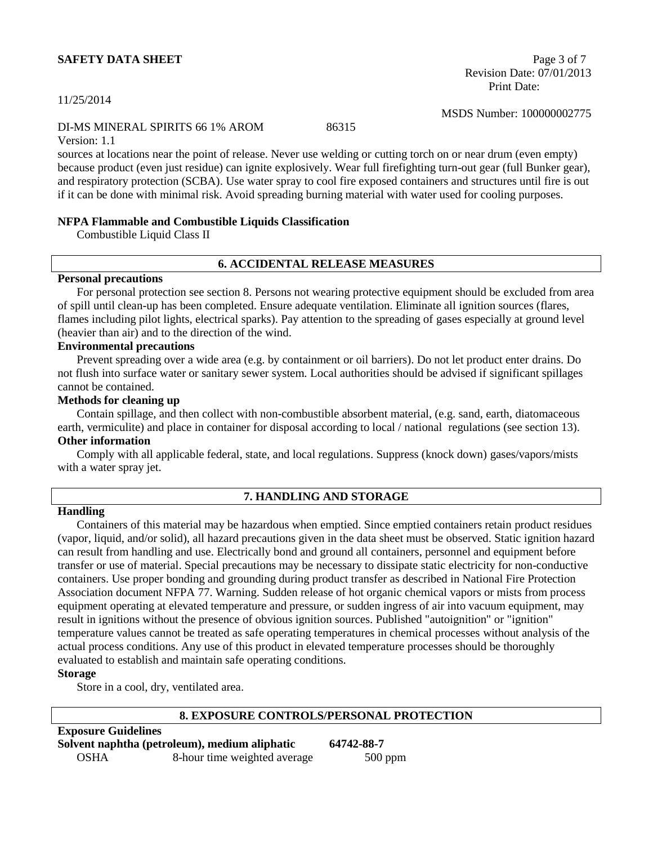#### **SAFETY DATA SHEET** Page 3 of 7

#### 11/25/2014

#### DI-MS MINERAL SPIRITS 66 1% AROM 86315

Version: 1.1

sources at locations near the point of release. Never use welding or cutting torch on or near drum (even empty) because product (even just residue) can ignite explosively. Wear full firefighting turn-out gear (full Bunker gear), and respiratory protection (SCBA). Use water spray to cool fire exposed containers and structures until fire is out if it can be done with minimal risk. Avoid spreading burning material with water used for cooling purposes.

#### **NFPA Flammable and Combustible Liquids Classification**

Combustible Liquid Class II

#### **6. ACCIDENTAL RELEASE MEASURES**

#### **Personal precautions**

For personal protection see section 8. Persons not wearing protective equipment should be excluded from area of spill until clean-up has been completed. Ensure adequate ventilation. Eliminate all ignition sources (flares, flames including pilot lights, electrical sparks). Pay attention to the spreading of gases especially at ground level (heavier than air) and to the direction of the wind.

#### **Environmental precautions**

Prevent spreading over a wide area (e.g. by containment or oil barriers). Do not let product enter drains. Do not flush into surface water or sanitary sewer system. Local authorities should be advised if significant spillages cannot be contained.

#### **Methods for cleaning up**

Contain spillage, and then collect with non-combustible absorbent material, (e.g. sand, earth, diatomaceous earth, vermiculite) and place in container for disposal according to local / national regulations (see section 13). **Other information**

Comply with all applicable federal, state, and local regulations. Suppress (knock down) gases/vapors/mists with a water spray jet.

#### **Handling**

#### **7. HANDLING AND STORAGE**

Containers of this material may be hazardous when emptied. Since emptied containers retain product residues (vapor, liquid, and/or solid), all hazard precautions given in the data sheet must be observed. Static ignition hazard can result from handling and use. Electrically bond and ground all containers, personnel and equipment before transfer or use of material. Special precautions may be necessary to dissipate static electricity for non-conductive containers. Use proper bonding and grounding during product transfer as described in National Fire Protection Association document NFPA 77. Warning. Sudden release of hot organic chemical vapors or mists from process equipment operating at elevated temperature and pressure, or sudden ingress of air into vacuum equipment, may result in ignitions without the presence of obvious ignition sources. Published "autoignition" or "ignition" temperature values cannot be treated as safe operating temperatures in chemical processes without analysis of the actual process conditions. Any use of this product in elevated temperature processes should be thoroughly evaluated to establish and maintain safe operating conditions.

#### **Storage**

Store in a cool, dry, ventilated area.

#### **8. EXPOSURE CONTROLS/PERSONAL PROTECTION**

# **Solvent naphtha (petroleum), medium aliphatic 64742-88-7** OSHA 8-hour time weighted average 500 ppm

**Exposure Guidelines**

 Revision Date: 07/01/2013 Print Date:

MSDS Number: 100000002775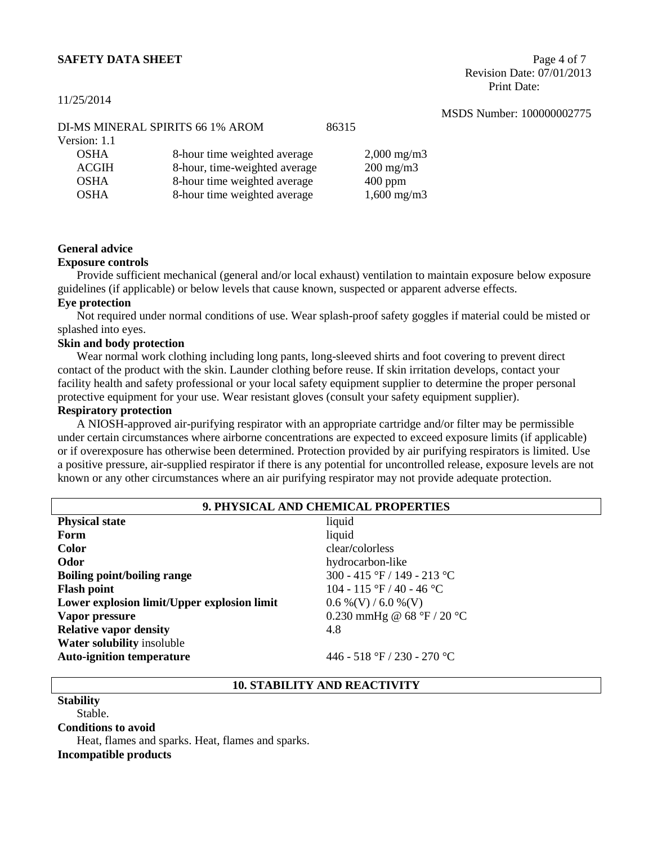#### **SAFETY DATA SHEET** Page 4 of 7

11/25/2014

 Revision Date: 07/01/2013 Print Date:

|              |                                  |       |                      | 11000 110111001.100000 |
|--------------|----------------------------------|-------|----------------------|------------------------|
|              | DI-MS MINERAL SPIRITS 66 1% AROM | 86315 |                      |                        |
| Version: 1.1 |                                  |       |                      |                        |
| <b>OSHA</b>  | 8-hour time weighted average     |       | $2,000 \text{ mg/m}$ |                        |
| ACGIH        | 8-hour, time-weighted average    |       | $200 \text{ mg/m}$   |                        |
| <b>OSHA</b>  | 8-hour time weighted average     |       | $400$ ppm            |                        |
| <b>OSHA</b>  | 8-hour time weighted average     |       | $1,600 \text{ mg/m}$ |                        |
|              |                                  |       |                      |                        |

#### **General advice**

#### **Exposure controls**

Provide sufficient mechanical (general and/or local exhaust) ventilation to maintain exposure below exposure guidelines (if applicable) or below levels that cause known, suspected or apparent adverse effects.

#### **Eye protection**

Not required under normal conditions of use. Wear splash-proof safety goggles if material could be misted or splashed into eyes.

#### **Skin and body protection**

Wear normal work clothing including long pants, long-sleeved shirts and foot covering to prevent direct contact of the product with the skin. Launder clothing before reuse. If skin irritation develops, contact your facility health and safety professional or your local safety equipment supplier to determine the proper personal protective equipment for your use. Wear resistant gloves (consult your safety equipment supplier).

### **Respiratory protection**

A NIOSH-approved air-purifying respirator with an appropriate cartridge and/or filter may be permissible under certain circumstances where airborne concentrations are expected to exceed exposure limits (if applicable) or if overexposure has otherwise been determined. Protection provided by air purifying respirators is limited. Use a positive pressure, air-supplied respirator if there is any potential for uncontrolled release, exposure levels are not known or any other circumstances where an air purifying respirator may not provide adequate protection.

| 9. PHYSICAL AND CHEMICAL PROPERTIES         |                              |  |
|---------------------------------------------|------------------------------|--|
| <b>Physical state</b>                       | liquid                       |  |
| Form                                        | liquid                       |  |
| <b>Color</b>                                | clear/colorless              |  |
| Odor                                        | hydrocarbon-like             |  |
| <b>Boiling point/boiling range</b>          | 300 - 415 °F / 149 - 213 °C  |  |
| <b>Flash point</b>                          | 104 - 115 °F / 40 - 46 °C    |  |
| Lower explosion limit/Upper explosion limit | $0.6\%$ (V) / 6.0 %(V)       |  |
| Vapor pressure                              | 0.230 mmHg @ $68 °F / 20 °C$ |  |
| <b>Relative vapor density</b>               | 4.8                          |  |
| <b>Water solubility insoluble</b>           |                              |  |
| <b>Auto-ignition temperature</b>            | 446 - 518 °F / 230 - 270 °C  |  |

#### **10. STABILITY AND REACTIVITY**

**Stability** Stable. **Conditions to avoid** Heat, flames and sparks. Heat, flames and sparks. **Incompatible products**

# MSDS Number: 100000002775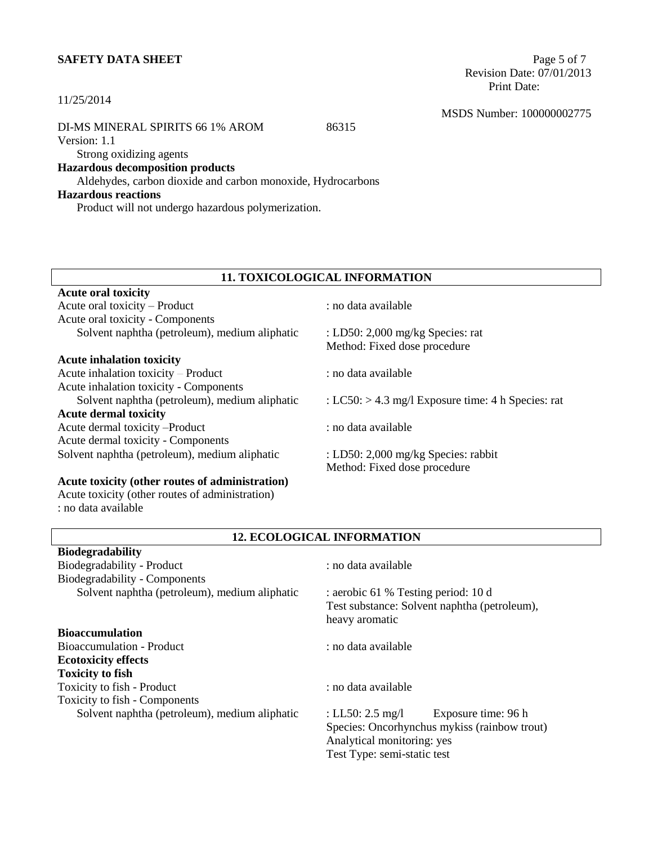# **SAFETY DATA SHEET** Page 5 of 7

#### 11/25/2014

#### DI-MS MINERAL SPIRITS 66 1% AROM 86315

Version: 1.1

# Strong oxidizing agents

# **Hazardous decomposition products**

Aldehydes, carbon dioxide and carbon monoxide, Hydrocarbons

# **Hazardous reactions**

**Acute oral toxicity**

**Biodegradability**

Product will not undergo hazardous polymerization.

 Revision Date: 07/01/2013 Print Date:

MSDS Number: 100000002775

# **11. TOXICOLOGICAL INFORMATION**

#### **Acute inhalation toxicity**

Acute inhalation toxicity – Product : no data available Acute inhalation toxicity - Components Solvent naphtha (petroleum), medium aliphatic : LC50: > 4.3 mg/l Exposure time: 4 h Species: rat **Acute dermal toxicity** Acute dermal toxicity –Product : no data available Acute dermal toxicity - Components Solvent naphtha (petroleum), medium aliphatic : LD50: 2,000 mg/kg Species: rabbit

## **Acute toxicity (other routes of administration)**

Acute toxicity (other routes of administration) : no data available

: no data available

 $\therefore$  LD50: 2,000 mg/kg Species: rat Method: Fixed dose procedure

Method: Fixed dose procedure

#### **12. ECOLOGICAL INFORMATION**

| <b>Blodegradability</b>                       |                                                                                                       |  |
|-----------------------------------------------|-------------------------------------------------------------------------------------------------------|--|
| Biodegradability - Product                    | : no data available                                                                                   |  |
| Biodegradability - Components                 |                                                                                                       |  |
| Solvent naphtha (petroleum), medium aliphatic | : aerobic 61 % Testing period: 10 d<br>Test substance: Solvent naphtha (petroleum),<br>heavy aromatic |  |
| <b>Bioaccumulation</b>                        |                                                                                                       |  |
| Bioaccumulation - Product                     | : no data available                                                                                   |  |
| <b>Ecotoxicity effects</b>                    |                                                                                                       |  |
| <b>Toxicity to fish</b>                       |                                                                                                       |  |
| Toxicity to fish - Product                    | : no data available                                                                                   |  |
| Toxicity to fish - Components                 |                                                                                                       |  |
| Solvent naphtha (petroleum), medium aliphatic | : LL50: $2.5 \text{ mg/l}$<br>Exposure time: 96 h                                                     |  |
|                                               | Species: Oncorhynchus mykiss (rainbow trout)                                                          |  |
|                                               | Analytical monitoring: yes                                                                            |  |
|                                               | Test Type: semi-static test                                                                           |  |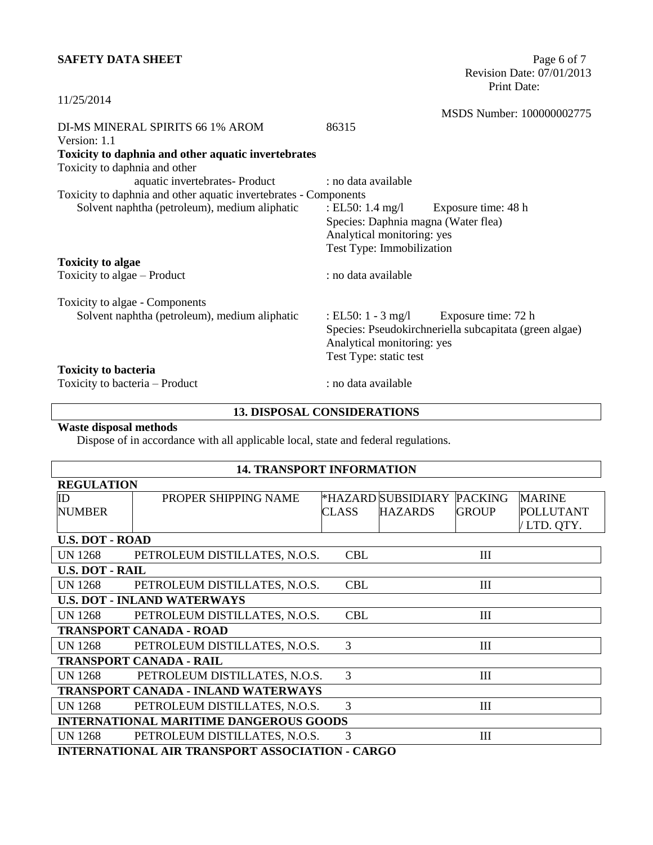# **SAFETY DATA SHEET** Page 6 of 7

 Revision Date: 07/01/2013 Print Date:

| 11/25/2014                                                       |                                     |                                                        |
|------------------------------------------------------------------|-------------------------------------|--------------------------------------------------------|
|                                                                  |                                     | MSDS Number: 100000002775                              |
| DI-MS MINERAL SPIRITS 66 1% AROM                                 | 86315                               |                                                        |
| Version: 1.1                                                     |                                     |                                                        |
| Toxicity to daphnia and other aquatic invertebrates              |                                     |                                                        |
| Toxicity to daphnia and other                                    |                                     |                                                        |
| aquatic invertebrates- Product                                   | : no data available                 |                                                        |
| Toxicity to daphnia and other aquatic invertebrates - Components |                                     |                                                        |
| Solvent naphtha (petroleum), medium aliphatic                    | : EL50: 1.4 mg/l                    | Exposure time: 48 h                                    |
|                                                                  | Species: Daphnia magna (Water flea) |                                                        |
|                                                                  | Analytical monitoring: yes          |                                                        |
|                                                                  | Test Type: Immobilization           |                                                        |
| <b>Toxicity to algae</b>                                         |                                     |                                                        |
| Toxicity to algae – Product                                      | : no data available                 |                                                        |
| Toxicity to algae - Components                                   |                                     |                                                        |
| Solvent naphtha (petroleum), medium aliphatic                    |                                     | : EL50: $1 - 3$ mg/l Exposure time: 72 h               |
|                                                                  |                                     | Species: Pseudokirchneriella subcapitata (green algae) |
|                                                                  | Analytical monitoring: yes          |                                                        |
|                                                                  | Test Type: static test              |                                                        |
| <b>Toxicity to bacteria</b>                                      |                                     |                                                        |
| Toxicity to bacteria – Product                                   | : no data available                 |                                                        |

# **13. DISPOSAL CONSIDERATIONS**

# **Waste disposal methods**

Dispose of in accordance with all applicable local, state and federal regulations.

# **14. TRANSPORT INFORMATION**

| <b>REGULATION</b>      |                                                     |              |                    |                |                  |
|------------------------|-----------------------------------------------------|--------------|--------------------|----------------|------------------|
| $_{\rm ID}$            | PROPER SHIPPING NAME                                |              | *HAZARD SUBSIDIARY | <b>PACKING</b> | <b>MARINE</b>    |
| <b>NUMBER</b>          |                                                     | <b>CLASS</b> | <b>HAZARDS</b>     | <b>GROUP</b>   | <b>POLLUTANT</b> |
|                        |                                                     |              |                    |                | /LTD. QTY.       |
| <b>U.S. DOT - ROAD</b> |                                                     |              |                    |                |                  |
| <b>UN 1268</b>         | PETROLEUM DISTILLATES, N.O.S.                       | <b>CBL</b>   |                    | III            |                  |
| <b>U.S. DOT - RAIL</b> |                                                     |              |                    |                |                  |
| <b>UN 1268</b>         | PETROLEUM DISTILLATES, N.O.S.                       | <b>CBL</b>   |                    | III            |                  |
|                        | <b>U.S. DOT - INLAND WATERWAYS</b>                  |              |                    |                |                  |
| <b>UN 1268</b>         | PETROLEUM DISTILLATES, N.O.S.                       | <b>CBL</b>   |                    | III            |                  |
|                        | <b>TRANSPORT CANADA - ROAD</b>                      |              |                    |                |                  |
| <b>UN 1268</b>         | PETROLEUM DISTILLATES, N.O.S.                       | 3            |                    | III            |                  |
|                        | <b>TRANSPORT CANADA - RAIL</b>                      |              |                    |                |                  |
| UN 1268                | PETROLEUM DISTILLATES, N.O.S.                       | 3            |                    | III            |                  |
|                        | <b>TRANSPORT CANADA - INLAND WATERWAYS</b>          |              |                    |                |                  |
| <b>UN 1268</b>         | PETROLEUM DISTILLATES, N.O.S.                       | 3            |                    | III            |                  |
|                        | <b>INTERNATIONAL MARITIME DANGEROUS GOODS</b>       |              |                    |                |                  |
| <b>UN 1268</b>         | PETROLEUM DISTILLATES, N.O.S.                       | 3            |                    | III            |                  |
|                        | <b>INTERNIATIONALE AIR TRANSPORTAGO CLARA CARGO</b> |              |                    |                |                  |

**INTERNATIONAL AIR TRANSPORT ASSOCIATION - CARGO**